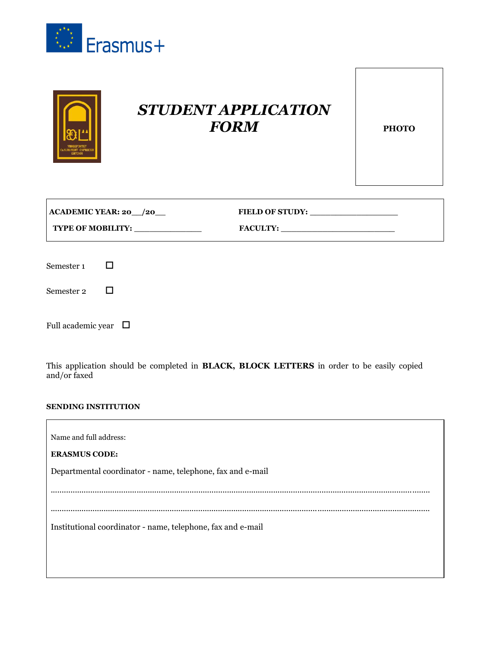



| $ ACADEMIC YEAR: 20 \_ /20 \_$ | <b>FIELD OF STUDY:</b> |
|--------------------------------|------------------------|
| <b>TYPE OF MOBILITY:</b>       | <b>FACULTY:</b>        |

| Semester 1 |  |
|------------|--|
|------------|--|

Semester 2  $\Box$ 

Full academic year  $\quad \Box$ 

This application should be completed in **BLACK, BLOCK LETTERS** in order to be easily copied and/or faxed

#### **SENDING INSTITUTION**

| Name and full address:                                      |
|-------------------------------------------------------------|
| <b>ERASMUS CODE:</b>                                        |
| Departmental coordinator - name, telephone, fax and e-mail  |
|                                                             |
|                                                             |
|                                                             |
| Institutional coordinator - name, telephone, fax and e-mail |
|                                                             |
|                                                             |
|                                                             |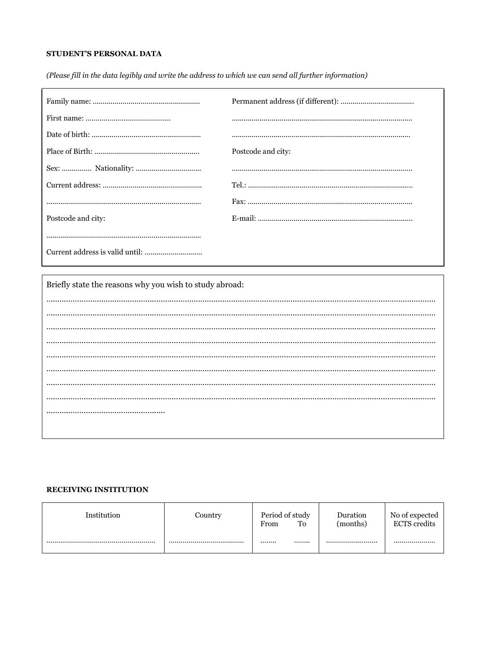# STUDENT'S PERSONAL DATA

(Please fill in the data legibly and write the address to which we can send all further information)

|                    | Postcode and city: |
|--------------------|--------------------|
|                    |                    |
|                    |                    |
|                    |                    |
| Postcode and city: |                    |
|                    |                    |
|                    |                    |

Briefly state the reasons why you wish to study abroad:

#### **RECEIVING INSTITUTION**

| Institution | Country | Period of study<br>To<br>From | Duration<br>(months) | No of expected<br><b>ECTS</b> credits |
|-------------|---------|-------------------------------|----------------------|---------------------------------------|
|             |         | <br>                          |                      |                                       |